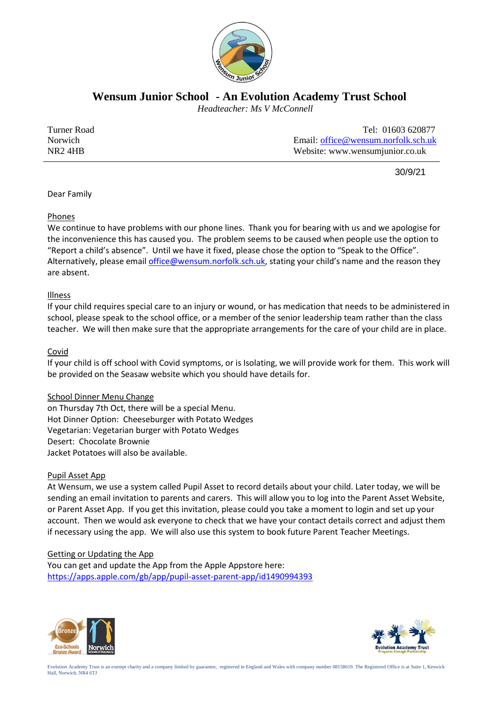

**Wensum Junior School - An Evolution Academy Trust School**

 *Headteacher: Ms V McConnell*

| Turner Road         | Tel: 01603 620877                   |
|---------------------|-------------------------------------|
| Norwich             | Email: office@wensum.norfolk.sch.uk |
| NR <sub>2</sub> 4HB | Website: www.wensumjunior.co.uk     |

30/9/21

Dear Family

## Phones

We continue to have problems with our phone lines. Thank you for bearing with us and we apologise for the inconvenience this has caused you. The problem seems to be caused when people use the option to "Report a child's absence". Until we have it fixed, please chose the option to "Speak to the Office". Alternatively, please email [office@wensum.norfolk.sch.uk](mailto:office@wensum.norfolk.sch.uk), stating your child's name and the reason they are absent.

# Illness

If your child requires special care to an injury or wound, or has medication that needs to be administered in school, please speak to the school office, or a member of the senior leadership team rather than the class teacher. We will then make sure that the appropriate arrangements for the care of your child are in place.

# Covid

If your child is off school with Covid symptoms, or is Isolating, we will provide work for them. This work will be provided on the Seasaw website which you should have details for.

## School Dinner Menu Change

on Thursday 7th Oct, there will be a special Menu. Hot Dinner Option: Cheeseburger with Potato Wedges Vegetarian: Vegetarian burger with Potato Wedges Desert: Chocolate Brownie Jacket Potatoes will also be available.

## Pupil Asset App

At Wensum, we use a system called Pupil Asset to record details about your child. Later today, we will be sending an email invitation to parents and carers. This will allow you to log into the Parent Asset Website, or Parent Asset App. If you get this invitation, please could you take a moment to login and set up your account. Then we would ask everyone to check that we have your contact details correct and adjust them if necessary using the app. We will also use this system to book future Parent Teacher Meetings.

## Getting or Updating the App

You can get and update the App from the Apple Appstore here: <https://apps.apple.com/gb/app/pupil-asset-parent-app/id1490994393>